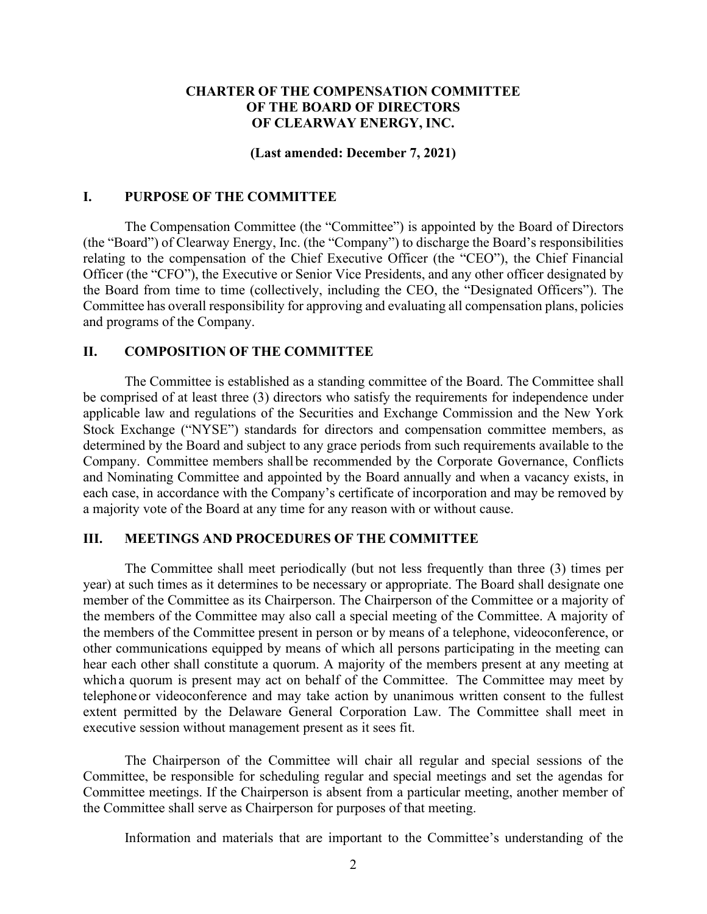# **CHARTER OF THE COMPENSATION COMMITTEE OF THE BOARD OF DIRECTORS OF CLEARWAY ENERGY, INC.**

#### **(Last amended: December 7, 2021)**

### **I. PURPOSE OF THE COMMITTEE**

The Compensation Committee (the "Committee") is appointed by the Board of Directors (the "Board") of Clearway Energy, Inc. (the "Company") to discharge the Board's responsibilities relating to the compensation of the Chief Executive Officer (the "CEO"), the Chief Financial Officer (the "CFO"), the Executive or Senior Vice Presidents, and any other officer designated by the Board from time to time (collectively, including the CEO, the "Designated Officers"). The Committee has overall responsibility for approving and evaluating all compensation plans, policies and programs of the Company.

## **II. COMPOSITION OF THE COMMITTEE**

The Committee is established as a standing committee of the Board. The Committee shall be comprised of at least three (3) directors who satisfy the requirements for independence under applicable law and regulations of the Securities and Exchange Commission and the New York Stock Exchange ("NYSE") standards for directors and compensation committee members, as determined by the Board and subject to any grace periods from such requirements available to the Company. Committee members shallbe recommended by the Corporate Governance, Conflicts and Nominating Committee and appointed by the Board annually and when a vacancy exists, in each case, in accordance with the Company's certificate of incorporation and may be removed by a majority vote of the Board at any time for any reason with or without cause.

## **III. MEETINGS AND PROCEDURES OF THE COMMITTEE**

The Committee shall meet periodically (but not less frequently than three (3) times per year) at such times as it determines to be necessary or appropriate. The Board shall designate one member of the Committee as its Chairperson. The Chairperson of the Committee or a majority of the members of the Committee may also call a special meeting of the Committee. A majority of the members of the Committee present in person or by means of a telephone, videoconference, or other communications equipped by means of which all persons participating in the meeting can hear each other shall constitute a quorum. A majority of the members present at any meeting at whicha quorum is present may act on behalf of the Committee. The Committee may meet by telephone or videoconference and may take action by unanimous written consent to the fullest extent permitted by the Delaware General Corporation Law. The Committee shall meet in executive session without management present as it sees fit.

The Chairperson of the Committee will chair all regular and special sessions of the Committee, be responsible for scheduling regular and special meetings and set the agendas for Committee meetings. If the Chairperson is absent from a particular meeting, another member of the Committee shall serve as Chairperson for purposes of that meeting.

Information and materials that are important to the Committee's understanding of the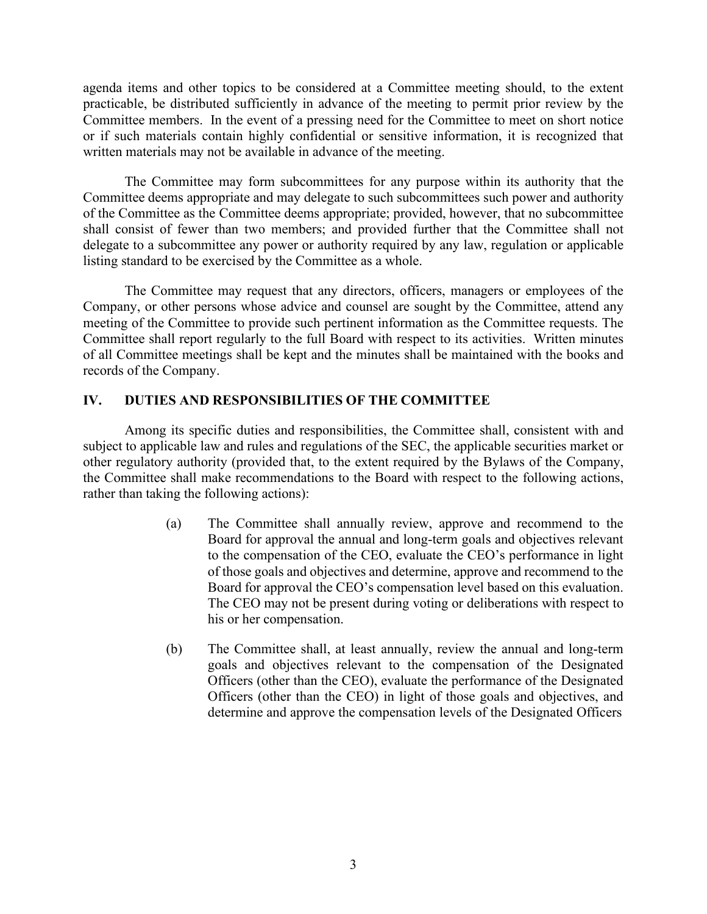agenda items and other topics to be considered at a Committee meeting should, to the extent practicable, be distributed sufficiently in advance of the meeting to permit prior review by the Committee members. In the event of a pressing need for the Committee to meet on short notice or if such materials contain highly confidential or sensitive information, it is recognized that written materials may not be available in advance of the meeting.

The Committee may form subcommittees for any purpose within its authority that the Committee deems appropriate and may delegate to such subcommittees such power and authority of the Committee as the Committee deems appropriate; provided, however, that no subcommittee shall consist of fewer than two members; and provided further that the Committee shall not delegate to a subcommittee any power or authority required by any law, regulation or applicable listing standard to be exercised by the Committee as a whole.

The Committee may request that any directors, officers, managers or employees of the Company, or other persons whose advice and counsel are sought by the Committee, attend any meeting of the Committee to provide such pertinent information as the Committee requests. The Committee shall report regularly to the full Board with respect to its activities. Written minutes of all Committee meetings shall be kept and the minutes shall be maintained with the books and records of the Company.

# **IV. DUTIES AND RESPONSIBILITIES OF THE COMMITTEE**

Among its specific duties and responsibilities, the Committee shall, consistent with and subject to applicable law and rules and regulations of the SEC, the applicable securities market or other regulatory authority (provided that, to the extent required by the Bylaws of the Company, the Committee shall make recommendations to the Board with respect to the following actions, rather than taking the following actions):

- (a) The Committee shall annually review, approve and recommend to the Board for approval the annual and long-term goals and objectives relevant to the compensation of the CEO, evaluate the CEO's performance in light of those goals and objectives and determine, approve and recommend to the Board for approval the CEO's compensation level based on this evaluation. The CEO may not be present during voting or deliberations with respect to his or her compensation.
- (b) The Committee shall, at least annually, review the annual and long-term goals and objectives relevant to the compensation of the Designated Officers (other than the CEO), evaluate the performance of the Designated Officers (other than the CEO) in light of those goals and objectives, and determine and approve the compensation levels of the Designated Officers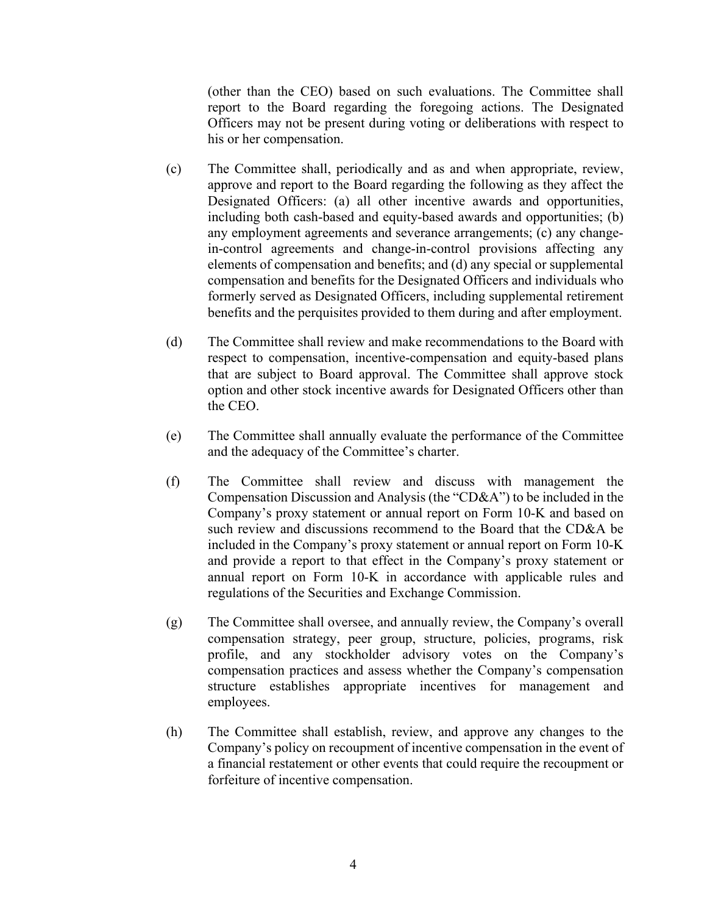(other than the CEO) based on such evaluations. The Committee shall report to the Board regarding the foregoing actions. The Designated Officers may not be present during voting or deliberations with respect to his or her compensation.

- (c) The Committee shall, periodically and as and when appropriate, review, approve and report to the Board regarding the following as they affect the Designated Officers: (a) all other incentive awards and opportunities, including both cash-based and equity-based awards and opportunities; (b) any employment agreements and severance arrangements; (c) any changein-control agreements and change-in-control provisions affecting any elements of compensation and benefits; and (d) any special or supplemental compensation and benefits for the Designated Officers and individuals who formerly served as Designated Officers, including supplemental retirement benefits and the perquisites provided to them during and after employment.
- (d) The Committee shall review and make recommendations to the Board with respect to compensation, incentive-compensation and equity-based plans that are subject to Board approval. The Committee shall approve stock option and other stock incentive awards for Designated Officers other than the CEO.
- (e) The Committee shall annually evaluate the performance of the Committee and the adequacy of the Committee's charter.
- (f) The Committee shall review and discuss with management the Compensation Discussion and Analysis (the "CD&A") to be included in the Company's proxy statement or annual report on Form 10-K and based on such review and discussions recommend to the Board that the CD&A be included in the Company's proxy statement or annual report on Form 10-K and provide a report to that effect in the Company's proxy statement or annual report on Form 10-K in accordance with applicable rules and regulations of the Securities and Exchange Commission.
- (g) The Committee shall oversee, and annually review, the Company's overall compensation strategy, peer group, structure, policies, programs, risk profile, and any stockholder advisory votes on the Company's compensation practices and assess whether the Company's compensation structure establishes appropriate incentives for management and employees.
- (h) The Committee shall establish, review, and approve any changes to the Company's policy on recoupment of incentive compensation in the event of a financial restatement or other events that could require the recoupment or forfeiture of incentive compensation.